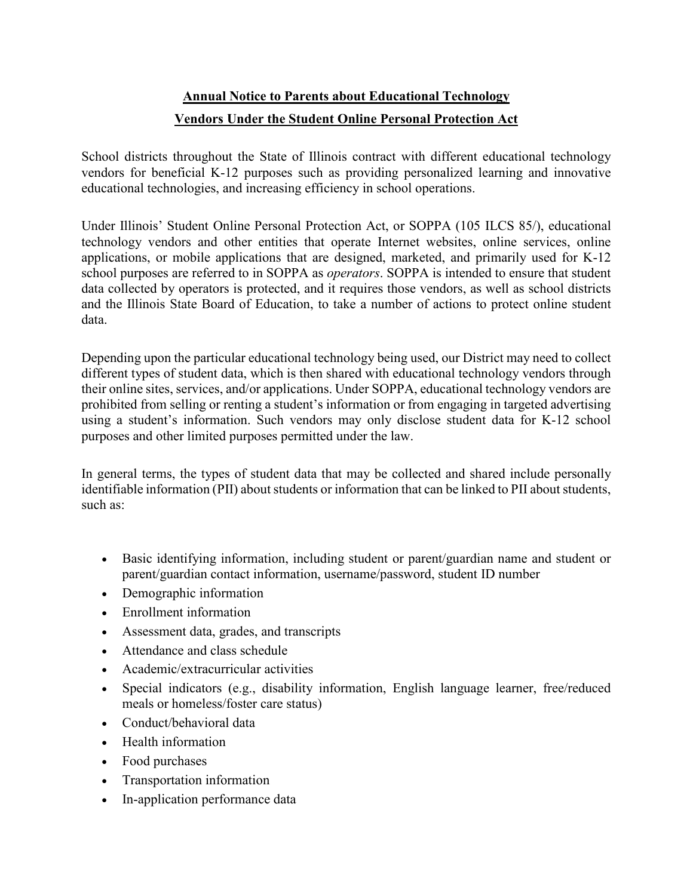## **Annual Notice to Parents about Educational Technology Vendors Under the Student Online Personal Protection Act**

School districts throughout the State of Illinois contract with different educational technology vendors for beneficial K-12 purposes such as providing personalized learning and innovative educational technologies, and increasing efficiency in school operations.

Under Illinois' Student Online Personal Protection Act, or SOPPA (105 ILCS 85/), educational technology vendors and other entities that operate Internet websites, online services, online applications, or mobile applications that are designed, marketed, and primarily used for K-12 school purposes are referred to in SOPPA as *operators*. SOPPA is intended to ensure that student data collected by operators is protected, and it requires those vendors, as well as school districts and the Illinois State Board of Education, to take a number of actions to protect online student data.

Depending upon the particular educational technology being used, our District may need to collect different types of student data, which is then shared with educational technology vendors through their online sites, services, and/or applications. Under SOPPA, educational technology vendors are prohibited from selling or renting a student's information or from engaging in targeted advertising using a student's information. Such vendors may only disclose student data for K-12 school purposes and other limited purposes permitted under the law.

In general terms, the types of student data that may be collected and shared include personally identifiable information (PII) about students or information that can be linked to PII about students, such as:

- Basic identifying information, including student or parent/guardian name and student or parent/guardian contact information, username/password, student ID number
- Demographic information
- Enrollment information
- Assessment data, grades, and transcripts
- Attendance and class schedule
- Academic/extracurricular activities
- Special indicators (e.g., disability information, English language learner, free/reduced meals or homeless/foster care status)
- Conduct/behavioral data
- Health information
- Food purchases
- Transportation information
- In-application performance data